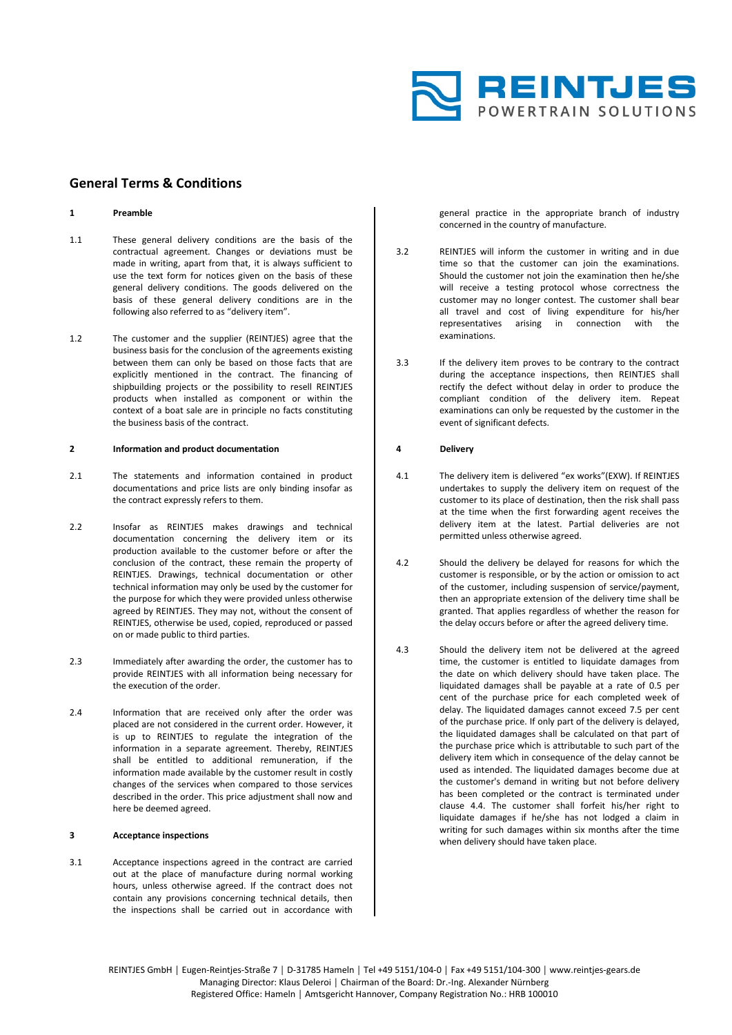

# **General Terms & Conditions**

#### **1 Preamble**

- 1.1 These general delivery conditions are the basis of the contractual agreement. Changes or deviations must be made in writing, apart from that, it is always sufficient to use the text form for notices given on the basis of these general delivery conditions. The goods delivered on the basis of these general delivery conditions are in the following also referred to as "delivery item".
- 1.2 The customer and the supplier (REINTJES) agree that the business basis for the conclusion of the agreements existing between them can only be based on those facts that are explicitly mentioned in the contract. The financing of shipbuilding projects or the possibility to resell REINTJES products when installed as component or within the context of a boat sale are in principle no facts constituting the business basis of the contract.

### **2 Information and product documentation**

- 2.1 The statements and information contained in product documentations and price lists are only binding insofar as the contract expressly refers to them.
- 2.2 Insofar as REINTJES makes drawings and technical documentation concerning the delivery item or its production available to the customer before or after the conclusion of the contract, these remain the property of REINTJES. Drawings, technical documentation or other technical information may only be used by the customer for the purpose for which they were provided unless otherwise agreed by REINTJES. They may not, without the consent of REINTJES, otherwise be used, copied, reproduced or passed on or made public to third parties.
- 2.3 Immediately after awarding the order, the customer has to provide REINTJES with all information being necessary for the execution of the order.
- 2.4 Information that are received only after the order was placed are not considered in the current order. However, it is up to REINTJES to regulate the integration of the information in a separate agreement. Thereby, REINTJES shall be entitled to additional remuneration, if the information made available by the customer result in costly changes of the services when compared to those services described in the order. This price adjustment shall now and here be deemed agreed.

#### **3 Acceptance inspections**

3.1 Acceptance inspections agreed in the contract are carried out at the place of manufacture during normal working hours, unless otherwise agreed. If the contract does not contain any provisions concerning technical details, then the inspections shall be carried out in accordance with

general practice in the appropriate branch of industry concerned in the country of manufacture.

- 3.2 REINTJES will inform the customer in writing and in due time so that the customer can join the examinations. Should the customer not join the examination then he/she will receive a testing protocol whose correctness the customer may no longer contest. The customer shall bear all travel and cost of living expenditure for his/her representatives arising in connection with the examinations.
- 3.3 If the delivery item proves to be contrary to the contract during the acceptance inspections, then REINTJES shall rectify the defect without delay in order to produce the compliant condition of the delivery item. Repeat examinations can only be requested by the customer in the event of significant defects.

### **4 Delivery**

- 4.1 The delivery item is delivered "ex works"(EXW). If REINTJES undertakes to supply the delivery item on request of the customer to its place of destination, then the risk shall pass at the time when the first forwarding agent receives the delivery item at the latest. Partial deliveries are not permitted unless otherwise agreed.
- 4.2 Should the delivery be delayed for reasons for which the customer is responsible, or by the action or omission to act of the customer, including suspension of service/payment, then an appropriate extension of the delivery time shall be granted. That applies regardless of whether the reason for the delay occurs before or after the agreed delivery time.
- 4.3 Should the delivery item not be delivered at the agreed time, the customer is entitled to liquidate damages from the date on which delivery should have taken place. The liquidated damages shall be payable at a rate of 0.5 per cent of the purchase price for each completed week of delay. The liquidated damages cannot exceed 7.5 per cent of the purchase price. If only part of the delivery is delayed, the liquidated damages shall be calculated on that part of the purchase price which is attributable to such part of the delivery item which in consequence of the delay cannot be used as intended. The liquidated damages become due at the customer's demand in writing but not before delivery has been completed or the contract is terminated under clause 4.4. The customer shall forfeit his/her right to liquidate damages if he/she has not lodged a claim in writing for such damages within six months after the time when delivery should have taken place.

REINTJES GmbH │ Eugen-Reintjes-Straße 7 │ D-31785 Hameln │ Tel +49 5151/104-0 │ Fax +49 5151/104-300 │ www.reintjes-gears.de Managing Director: Klaus Deleroi │ Chairman of the Board: Dr.-Ing. Alexander Nürnberg Registered Office: Hameln │ Amtsgericht Hannover, Company Registration No.: HRB 100010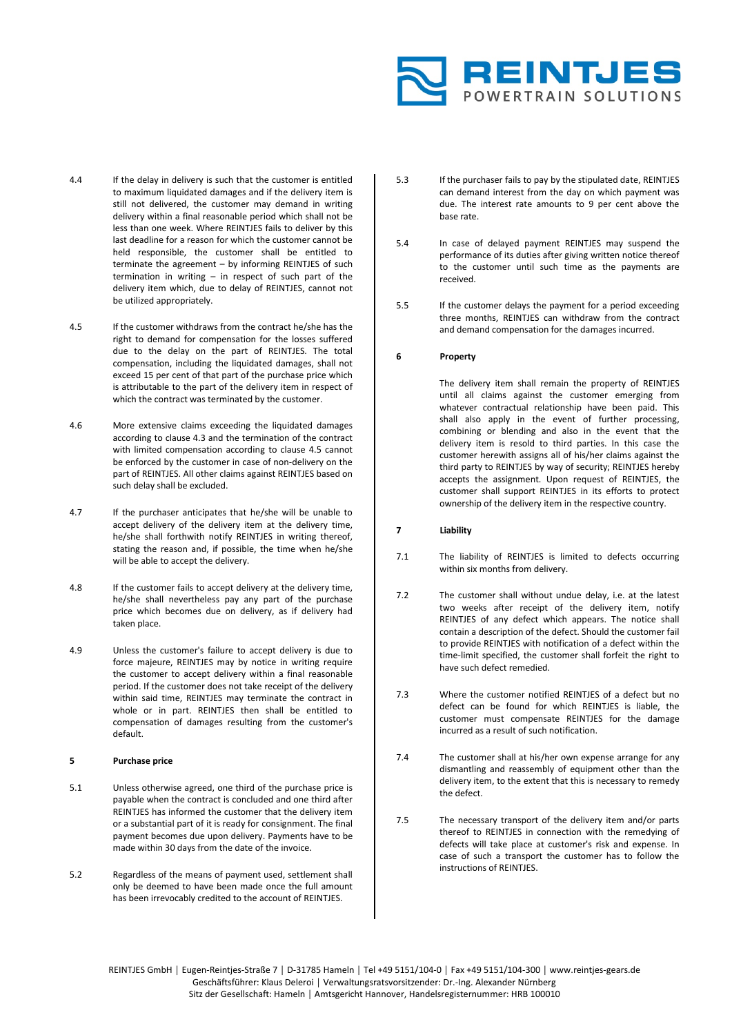

- 4.4 If the delay in delivery is such that the customer is entitled to maximum liquidated damages and if the delivery item is still not delivered, the customer may demand in writing delivery within a final reasonable period which shall not be less than one week. Where REINTJES fails to deliver by this last deadline for a reason for which the customer cannot be held responsible, the customer shall be entitled to terminate the agreement – by informing REINTJES of such termination in writing – in respect of such part of the delivery item which, due to delay of REINTJES, cannot not be utilized appropriately.
- 4.5 If the customer withdraws from the contract he/she has the right to demand for compensation for the losses suffered due to the delay on the part of REINTJES. The total compensation, including the liquidated damages, shall not exceed 15 per cent of that part of the purchase price which is attributable to the part of the delivery item in respect of which the contract was terminated by the customer.
- 4.6 More extensive claims exceeding the liquidated damages according to clause 4.3 and the termination of the contract with limited compensation according to clause 4.5 cannot be enforced by the customer in case of non-delivery on the part of REINTJES. All other claims against REINTJES based on such delay shall be excluded.
- 4.7 If the purchaser anticipates that he/she will be unable to accept delivery of the delivery item at the delivery time, he/she shall forthwith notify REINTJES in writing thereof, stating the reason and, if possible, the time when he/she will be able to accept the delivery.
- 4.8 If the customer fails to accept delivery at the delivery time, he/she shall nevertheless pay any part of the purchase price which becomes due on delivery, as if delivery had taken place.
- 4.9 Unless the customer's failure to accept delivery is due to force majeure, REINTJES may by notice in writing require the customer to accept delivery within a final reasonable period. If the customer does not take receipt of the delivery within said time, REINTJES may terminate the contract in whole or in part. REINTJES then shall be entitled to compensation of damages resulting from the customer's default.

### **5 Purchase price**

- 5.1 Unless otherwise agreed, one third of the purchase price is payable when the contract is concluded and one third after REINTJES has informed the customer that the delivery item or a substantial part of it is ready for consignment. The final payment becomes due upon delivery. Payments have to be made within 30 days from the date of the invoice.
- 5.2 Regardless of the means of payment used, settlement shall only be deemed to have been made once the full amount has been irrevocably credited to the account of REINTJES.
- 5.3 If the purchaser fails to pay by the stipulated date, REINTJES can demand interest from the day on which payment was due. The interest rate amounts to 9 per cent above the base rate.
- 5.4 In case of delayed payment REINTJES may suspend the performance of its duties after giving written notice thereof to the customer until such time as the payments are received.
- 5.5 If the customer delays the payment for a period exceeding three months, REINTJES can withdraw from the contract and demand compensation for the damages incurred.

## **6 Property**

The delivery item shall remain the property of REINTJES until all claims against the customer emerging from whatever contractual relationship have been paid. This shall also apply in the event of further processing, combining or blending and also in the event that the delivery item is resold to third parties. In this case the customer herewith assigns all of his/her claims against the third party to REINTJES by way of security; REINTJES hereby accepts the assignment. Upon request of REINTJES, the customer shall support REINTJES in its efforts to protect ownership of the delivery item in the respective country.

# **7 Liability**

- 7.1 The liability of REINTJES is limited to defects occurring within six months from delivery.
- 7.2 The customer shall without undue delay, i.e. at the latest two weeks after receipt of the delivery item, notify REINTJES of any defect which appears. The notice shall contain a description of the defect. Should the customer fail to provide REINTJES with notification of a defect within the time-limit specified, the customer shall forfeit the right to have such defect remedied.
- 7.3 Where the customer notified REINTJES of a defect but no defect can be found for which REINTJES is liable, the customer must compensate REINTJES for the damage incurred as a result of such notification.
- 7.4 The customer shall at his/her own expense arrange for any dismantling and reassembly of equipment other than the delivery item, to the extent that this is necessary to remedy the defect.
- 7.5 The necessary transport of the delivery item and/or parts thereof to REINTJES in connection with the remedying of defects will take place at customer's risk and expense. In case of such a transport the customer has to follow the instructions of REINTIES

REINTJES GmbH │ Eugen-Reintjes-Straße 7 │ D-31785 Hameln │ Tel +49 5151/104-0 │ Fax +49 5151/104-300 │ www.reintjes-gears.de Geschäftsführer: Klaus Deleroi │ Verwaltungsratsvorsitzender: Dr.-Ing. Alexander Nürnberg Sitz der Gesellschaft: Hameln │ Amtsgericht Hannover, Handelsregisternummer: HRB 100010